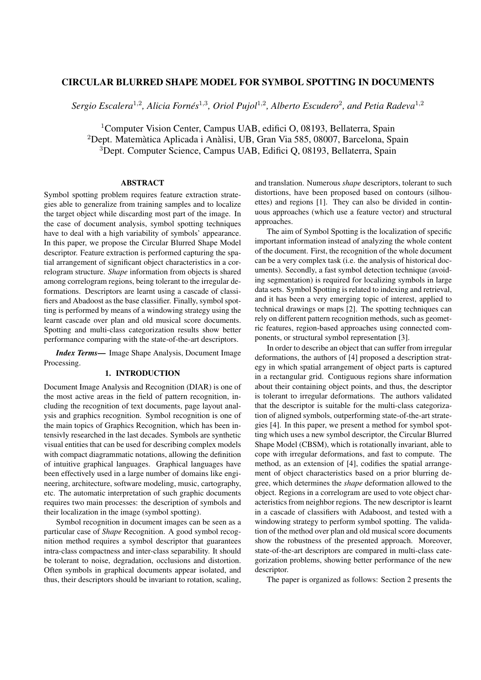# CIRCULAR BLURRED SHAPE MODEL FOR SYMBOL SPOTTING IN DOCUMENTS

 $Sergio\ Escalera<sup>1,2</sup>, Alicia\ Fornés<sup>1,3</sup>, *Oriol Pujol<sup>1,2</sup>, Alberto Escudero<sup>2</sup>, and Petia Radeva<sup>1,2</sup>*$ 

<sup>1</sup>Computer Vision Center, Campus UAB, edifici O, 08193, Bellaterra, Spain  $2$ Dept. Matemàtica Aplicada i Anàlisi, UB, Gran Via 585, 08007, Barcelona, Spain <sup>3</sup>Dept. Computer Science, Campus UAB, Edifici Q, 08193, Bellaterra, Spain

## ABSTRACT

Symbol spotting problem requires feature extraction strategies able to generalize from training samples and to localize the target object while discarding most part of the image. In the case of document analysis, symbol spotting techniques have to deal with a high variability of symbols' appearance. In this paper, we propose the Circular Blurred Shape Model descriptor. Feature extraction is performed capturing the spatial arrangement of significant object characteristics in a correlogram structure. *Shape* information from objects is shared among correlogram regions, being tolerant to the irregular deformations. Descriptors are learnt using a cascade of classifiers and Abadoost as the base classifier. Finally, symbol spotting is performed by means of a windowing strategy using the learnt cascade over plan and old musical score documents. Spotting and multi-class categorization results show better performance comparing with the state-of-the-art descriptors.

*Index Terms*— Image Shape Analysis, Document Image Processing.

### 1. INTRODUCTION

Document Image Analysis and Recognition (DIAR) is one of the most active areas in the field of pattern recognition, including the recognition of text documents, page layout analysis and graphics recognition. Symbol recognition is one of the main topics of Graphics Recognition, which has been intensivly researched in the last decades. Symbols are synthetic visual entities that can be used for describing complex models with compact diagrammatic notations, allowing the definition of intuitive graphical languages. Graphical languages have been effectively used in a large number of domains like engineering, architecture, software modeling, music, cartography, etc. The automatic interpretation of such graphic documents requires two main processes: the description of symbols and their localization in the image (symbol spotting).

Symbol recognition in document images can be seen as a particular case of *Shape* Recognition. A good symbol recognition method requires a symbol descriptor that guarantees intra-class compactness and inter-class separability. It should be tolerant to noise, degradation, occlusions and distortion. Often symbols in graphical documents appear isolated, and thus, their descriptors should be invariant to rotation, scaling,

and translation. Numerous *shape* descriptors, tolerant to such distortions, have been proposed based on contours (silhouettes) and regions [1]. They can also be divided in continuous approaches (which use a feature vector) and structural approaches.

The aim of Symbol Spotting is the localization of specific important information instead of analyzing the whole content of the document. First, the recognition of the whole document can be a very complex task (i.e. the analysis of historical documents). Secondly, a fast symbol detection technique (avoiding segmentation) is required for localizing symbols in large data sets. Symbol Spotting is related to indexing and retrieval, and it has been a very emerging topic of interest, applied to technical drawings or maps [2]. The spotting techniques can rely on different pattern recognition methods, such as geometric features, region-based approaches using connected components, or structural symbol representation [3].

In order to describe an object that can suffer from irregular deformations, the authors of [4] proposed a description strategy in which spatial arrangement of object parts is captured in a rectangular grid. Contiguous regions share information about their containing object points, and thus, the descriptor is tolerant to irregular deformations. The authors validated that the descriptor is suitable for the multi-class categorization of aligned symbols, outperforming state-of-the-art strategies [4]. In this paper, we present a method for symbol spotting which uses a new symbol descriptor, the Circular Blurred Shape Model (CBSM), which is rotationally invariant, able to cope with irregular deformations, and fast to compute. The method, as an extension of [4], codifies the spatial arrangement of object characteristics based on a prior blurring degree, which determines the *shape* deformation allowed to the object. Regions in a correlogram are used to vote object characteristics from neighbor regions. The new descriptor is learnt in a cascade of classifiers with Adaboost, and tested with a windowing strategy to perform symbol spotting. The validation of the method over plan and old musical score documents show the robustness of the presented approach. Moreover, state-of-the-art descriptors are compared in multi-class categorization problems, showing better performance of the new descriptor.

The paper is organized as follows: Section 2 presents the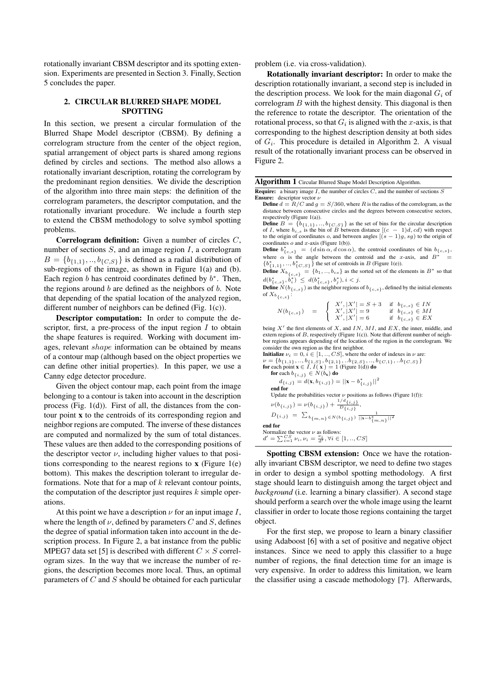rotationally invariant CBSM descriptor and its spotting extension. Experiments are presented in Section 3. Finally, Section 5 concludes the paper.

### 2. CIRCULAR BLURRED SHAPE MODEL SPOTTING

In this section, we present a circular formulation of the Blurred Shape Model descriptor (CBSM). By defining a correlogram structure from the center of the object region, spatial arrangement of object parts is shared among regions defined by circles and sections. The method also allows a rotationally invariant description, rotating the correlogram by the predominant region densities. We divide the description of the algorithm into three main steps: the definition of the correlogram parameters, the descriptor computation, and the rotationally invariant procedure. We include a fourth step to extend the CBSM methodology to solve symbol spotting problems.

**Correlogram definition:** Given a number of circles  $C$ , number of sections  $S$ , and an image region  $I$ , a correlogram  $B = \{b_{\{1,1\}},..,b_{\{C,S\}}\}\$ is defined as a radial distribution of sub-regions of the image, as shown in Figure 1(a) and (b). Each region  $b$  has centroid coordinates defined by  $b^*$ . Then, the regions around  $b$  are defined as the neighbors of  $b$ . Note that depending of the spatial location of the analyzed region, different number of neighbors can be defined (Fig. 1(c)).

Descriptor computation: In order to compute the descriptor, first, a pre-process of the input region  $I$  to obtain the shape features is required. Working with document images, relevant shape information can be obtained by means of a contour map (although based on the object properties we can define other initial properties). In this paper, we use a Canny edge detector procedure.

Given the object contour map, each point from the image belonging to a contour is taken into account in the description process (Fig. 1(d)). First of all, the distances from the contour point x to the centroids of its corresponding region and neighbor regions are computed. The inverse of these distances are computed and normalized by the sum of total distances. These values are then added to the corresponding positions of the descriptor vector  $\nu$ , including higher values to that positions corresponding to the nearest regions to  $\bf{x}$  (Figure 1(e) bottom). This makes the description tolerant to irregular deformations. Note that for a map of  $k$  relevant contour points, the computation of the descriptor just requires  $k$  simple operations.

At this point we have a description  $\nu$  for an input image I, where the length of  $\nu$ , defined by parameters C and S, defines the degree of spatial information taken into account in the description process. In Figure 2, a bat instance from the public MPEG7 data set [5] is described with different  $C \times S$  correlogram sizes. In the way that we increase the number of regions, the description becomes more local. Thus, an optimal parameters of C and S should be obtained for each particular problem (i.e. via cross-validation).

Rotationally invariant descriptor: In order to make the description rotationally invariant, a second step is included in the description process. We look for the main diagonal  $G_i$  of correlogram  $B$  with the highest density. This diagonal is then the reference to rotate the descriptor. The orientation of the rotational process, so that  $G_i$  is aligned with the x-axis, is that corresponding to the highest description density at both sides of  $G_i$ . This procedure is detailed in Algorithm 2. A visual result of the rotationally invariant process can be observed in Figure 2.

|  | Algorithm 1 Circular Blurred Shape Model Description Algorithm. |  |  |  |
|--|-----------------------------------------------------------------|--|--|--|
|--|-----------------------------------------------------------------|--|--|--|

**Require:** a binary image I, the number of circles C, and the number of sections S **Ensure:** descriptor vector  $\nu$ 

- **Define**  $d = R/C$  and  $g = S/360$ , where R is the radius of the correlogram, as the distance between consecutive circles and the degrees between consecutive sectors, respectively (Figure 1(a)).
- **Define**  $B = \{b_{\{1,1\}}, \ldots, b_{\{C,S\}}\}$  as the set of bins for the circular description of *I*, where  $b_{c,s}$  is the bin of *B* between distance  $[(c 1)d, cd)$  with respect to the origin of coordinates o, and between angles  $[(s - 1)g, sg)$  to the origin of coordinates  $o$  and  $x$ -axis (Figure 1(b)).

**Define**  $b_{\{c,s\}}^* = (d \sin \alpha, d \cos \alpha)$ , the centroid coordinates of bin  $b_{\{c,s\}}$ , where  $\alpha$  is the angle between the centroid and the x-axis, and  $B^*$  $\equiv$  ${b_{1,1}^*, \ldots, b_{C,S}}$  the set of centroids in B (Figure 1(e)).

**Define**  $X_{b_{\{c,s\}}} = \{b_1, ..., b_{cs}\}\$ as the sorted set of the elements in  $B^*$  so that  $d(b_{\{c,s\}}^*, \dot{b}_i^*) \leq d(b_{\{c,s\}}^*, b_j^*), i < j.$ 

**Define**  $N(b_{\{c,s\}})$  as the neighbor regions of  $b_{\{c,s\}}$ , defined by the initial elements of  $X_{b_{\set{c,s}}}$  :  $\overline{a}$ 

$$
N(b_{\{c,s\}}) \quad = \quad \left\{ \begin{array}{ll} X', |X'| = S+3 & \mbox{if} \;\; b_{\{c,s\}} \in IN \\ X', |X'| = 9 & \mbox{if} \;\; b_{\{c,s\}} \in MI \\ X', |X'| = 6 & \mbox{if} \;\; b_{\{c,s\}} \in EX \end{array} \right.
$$

being  $X'$  the first elements of X, and IN, MI, and EX, the inner, middle, and extern regions of  $B$ , respectively (Figure 1(c)). Note that different number of neighbor regions appears depending of the location of the region in the correlogram. We consider the own region as the first neighbor.

**Initialize**  $\nu_i = 0, i \in [1, ..., CS]$ , where the order of indexes in  $\nu$  are:<br>  $\nu = \{b_{\{1,1\}}, ..., b_{\{1,S\}}, b_{\{2,1\}}, ..., b_{\{2,S\}}, ..., b_{\{C,1\}}, ..., b_{\{C,S\}}\}$ <br>
for each point  $\mathbf{x} \in I, I(\mathbf{x}) = 1$  (Figure 1(d)) **do** for each  $b_{\{i,j\}} \in N(b_{\mathbf{x}})$  do  $d_{\{i,j\}} = d(\mathbf{x}, b_{\{i,j\}}) = ||\mathbf{x} - b_{\{i,j\}}^*||^2$ end for Update the probabilities vector  $\nu$  positions as follows (Figure 1(f)):  $\nu(b_{\{i,j\}}) = \nu(b_{\{i,j\}}) + \frac{1/d_{\{i,j\}}}{D_{\{i,j\}}},$  $D_{\{i,j\}} = \sum_{b_{\{m,n\}} \in N(b_{\{i,j\}})} \frac{1}{||\mathbf{x}-b_{\{m,n\}}^*||^2}$ end for Normalize the vector  $\nu$  as follows:<br>  $d' = \sum_{i=1}^{CS} \nu_i, \nu_i = \frac{\nu_i}{d'}, \forall i \in [1, ..., CS]$ 

Spotting CBSM extension: Once we have the rotationally invariant CBSM descriptor, we need to define two stages in order to design a symbol spotting methodology. A first stage should learn to distinguish among the target object and *background* (i.e. learning a binary classifier). A second stage should perform a search over the whole image using the learnt classifier in order to locate those regions containing the target object.

For the first step, we propose to learn a binary classifier using Adaboost [6] with a set of positive and negative object instances. Since we need to apply this classifier to a huge number of regions, the final detection time for an image is very expensive. In order to address this limitation, we learn the classifier using a cascade methodology [7]. Afterwards,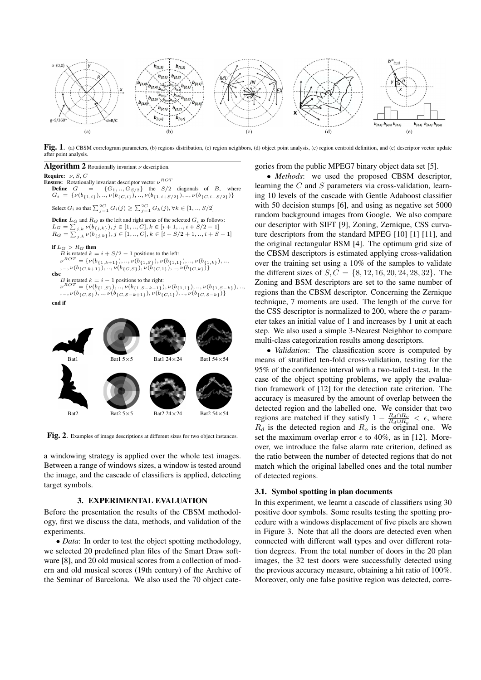

Fig. 1. (a) CBSM correlogram parameters, (b) regions distribution, (c) region neighbors, (d) object point analysis, (e) region centroid definition, and (e) descriptor vector update after point analysis.

**Algorithm 2** Rotationally invariant  $\nu$  description.

Require:  $\nu$ , S, C **Ensure:** Rotationally invariant descriptor vector  $\nu^{ROT}$ **Define**  $G = \{G_1, ..., G_{S/2}\}\$  the  $S/2$  diagonals of B, where  $G_i = \{ \nu(b_{\{1,i\}}), \ldots, \nu(b_{\{C,i\}}), \ldots, \nu(b_{\{1,i+S/2\}}), \ldots, \nu(b_{\{C,i+S/2\}}) \}$ Select  $G_i$  so that  $\sum_{j=1}^{2C} G_i(j) \ge \sum_{j=1}^{2C} G_k(j)$ ,  $\forall k \in [1, ..., S/2]$ **Define**  $L_G$  and  $R_G$  as the left and right areas of the selected  $G_i$  as follows: **Denne**  $L_G$  and  $R_G$  as the left and right areas of the selected  $G_i$  as follow<br>  $L_G = \sum_{j,k} \nu(b_{\{j,k\}}), j \in [1, ..., C], k \in [i+1, ..., i + S/2 - 1]$  $R_G = \sum_{j,k} \nu(b_{\{j,k\}}), j \in [1, ..., C], k \in [i + S/2 + 1, ..., i + S - 1]$ if  $L_G > R_G$  then B is rotated  $k = i + S/2 - 1$  positions to the left:  $\nu^{ROT} = \{\nu(b_{\{1,k+1\}}),..,\nu(b_{\{1,S\}}),\nu(b_{\{1,1\}}),..,\nu(b_{\{1,k\}}),..,\nu(b_{\{N,k\}}),...,\nu(b_{\{N,k\}})\}$ else B is rotated  $k = i - 1$  positions to the right:<br>  $\nu^{ROT} = {\nu(b_{\{1, S\}}), ..., \nu(b_{\{1, S-k+1\}}), \nu(b_{\{1,1\}}), ..., \nu(b_{\{1, S-k\}}), ...,$ , ..,  $\nu(b_{\{C,S\}}), \ldots, \nu(b_{\{C,S-k+1\}}), \nu(b_{\{C,1\}}), \ldots, \nu(b_{\{C,S-k\}})$ } end if



Fig. 2. Examples of image descriptions at different sizes for two object instances.

a windowing strategy is applied over the whole test images. Between a range of windows sizes, a window is tested around the image, and the cascade of classifiers is applied, detecting target symbols.

#### 3. EXPERIMENTAL EVALUATION

Before the presentation the results of the CBSM methodology, first we discuss the data, methods, and validation of the experiments.

• *Data*: In order to test the object spotting methodology, we selected 20 predefined plan files of the Smart Draw software [8], and 20 old musical scores from a collection of modern and old musical scores (19th century) of the Archive of the Seminar of Barcelona. We also used the 70 object categories from the public MPEG7 binary object data set [5].

• *Methods*: we used the proposed CBSM descriptor, learning the  $C$  and  $S$  parameters via cross-validation, learning 10 levels of the cascade with Gentle Adaboost classifier with 50 decision stumps [6], and using as negative set 5000 random background images from Google. We also compare our descriptor with SIFT [9], Zoning, Zernique, CSS curvature descriptors from the standard MPEG [10] [1] [11], and the original rectangular BSM [4]. The optimum grid size of the CBSM descriptors is estimated applying cross-validation over the training set using a 10% of the samples to validate the different sizes of  $S, C = \{8, 12, 16, 20, 24, 28, 32\}$ . The Zoning and BSM descriptors are set to the same number of regions than the CBSM descriptor. Concerning the Zernique technique, 7 moments are used. The length of the curve for the CSS descriptor is normalized to 200, where the  $\sigma$  parameter takes an initial value of 1 and increases by 1 unit at each step. We also used a simple 3-Nearest Neighbor to compare multi-class categorization results among descriptors.

• *Validation*: The classification score is computed by means of stratified ten-fold cross-validation, testing for the 95% of the confidence interval with a two-tailed t-test. In the case of the object spotting problems, we apply the evaluation framework of [12] for the detection rate criterion. The accuracy is measured by the amount of overlap between the detected region and the labelled one. We consider that two regions are matched if they satisfy  $1 - \frac{R_d \cap R_o}{R_d \cup R_o} < \epsilon$ , where  $R_d$  is the detected region and  $R_o$  is the original one. We set the maximum overlap error  $\epsilon$  to 40%, as in [12]. Moreover, we introduce the false alarm rate criterion, defined as the ratio between the number of detected regions that do not match which the original labelled ones and the total number of detected regions.

## 3.1. Symbol spotting in plan documents

In this experiment, we learnt a cascade of classifiers using 30 positive door symbols. Some results testing the spotting procedure with a windows displacement of five pixels are shown in Figure 3. Note that all the doors are detected even when connected with different wall types and over different rotation degrees. From the total number of doors in the 20 plan images, the 32 test doors were successfully detected using the previous accuracy measure, obtaining a hit ratio of 100%. Moreover, only one false positive region was detected, corre